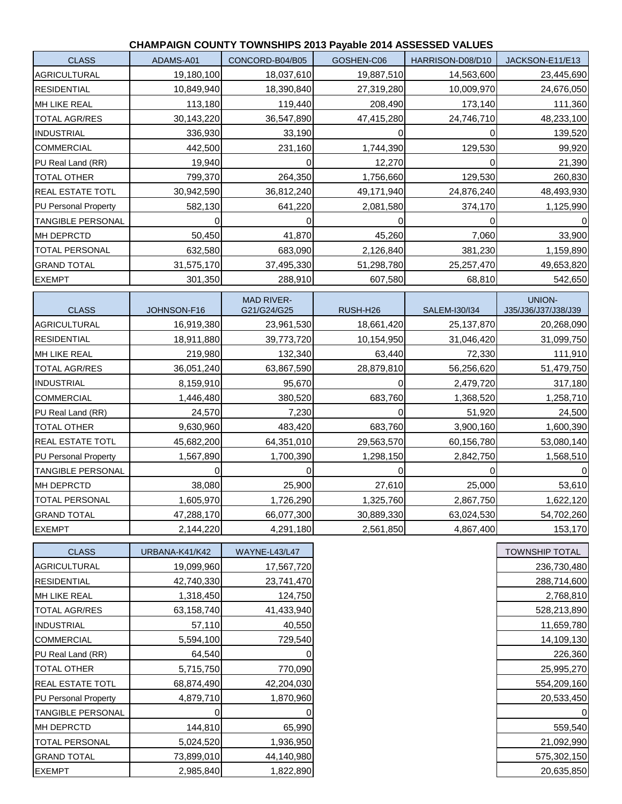## **CHAMPAIGN COUNTY TOWNSHIPS 2013 Payable 2014 ASSESSED VALUES**

| <b>CLASS</b>             | ADAMS-A01  | CONCORD-B04/B05 | GOSHEN-C06 | HARRISON-D08/D10 | JACKSON-E11/E13 |
|--------------------------|------------|-----------------|------------|------------------|-----------------|
| <b>AGRICULTURAL</b>      | 19,180,100 | 18,037,610      | 19,887,510 | 14,563,600       | 23,445,690      |
| <b>RESIDENTIAL</b>       | 10,849,940 | 18,390,840      | 27,319,280 | 10,009,970       | 24,676,050      |
| <b>MH LIKE REAL</b>      | 113,180    | 119,440         | 208,490    | 173,140          | 111,360         |
| <b>TOTAL AGR/RES</b>     | 30,143,220 | 36,547,890      | 47,415,280 | 24,746,710       | 48,233,100      |
| <b>INDUSTRIAL</b>        | 336,930    | 33,190          |            |                  | 139,520         |
| <b>COMMERCIAL</b>        | 442,500    | 231,160         | 1,744,390  | 129,530          | 99,920          |
| PU Real Land (RR)        | 19,940     |                 | 12,270     |                  | 21,390          |
| <b>TOTAL OTHER</b>       | 799,370    | 264,350         | 1,756,660  | 129,530          | 260,830         |
| <b>REAL ESTATE TOTL</b>  | 30,942,590 | 36,812,240      | 49,171,940 | 24,876,240       | 48,493,930      |
| PU Personal Property     | 582,130    | 641,220         | 2,081,580  | 374,170          | 1,125,990       |
| <b>TANGIBLE PERSONAL</b> |            |                 |            |                  |                 |
| MH DEPRCTD               | 50,450     | 41,870          | 45,260     | 7,060            | 33,900          |
| <b>TOTAL PERSONAL</b>    | 632,580    | 683,090         | 2,126,840  | 381,230          | 1,159,890       |
| <b>GRAND TOTAL</b>       | 31,575,170 | 37,495,330      | 51,298,780 | 25,257,470       | 49,653,820      |
| <b>EXEMPT</b>            | 301,350    | 288,910         | 607,580    | 68,810           | 542,650         |

| <b>CLASS</b>            | JOHNSON-F16 | <b>MAD RIVER-</b><br>G21/G24/G25 | RUSH-H26   | SALEM-130/134 | <b>UNION-</b><br>J35/J36/J37/J38/J39 |
|-------------------------|-------------|----------------------------------|------------|---------------|--------------------------------------|
| <b>AGRICULTURAL</b>     | 16,919,380  | 23,961,530                       | 18,661,420 | 25,137,870    | 20,268,090                           |
| <b>RESIDENTIAL</b>      | 18,911,880  | 39,773,720                       | 10,154,950 | 31,046,420    | 31,099,750                           |
| <b>MH LIKE REAL</b>     | 219,980     | 132,340                          | 63,440     | 72,330        | 111,910                              |
| <b>TOTAL AGR/RES</b>    | 36,051,240  | 63,867,590                       | 28,879,810 | 56,256,620    | 51,479,750                           |
| <b>INDUSTRIAL</b>       | 8,159,910   | 95,670                           |            | 2,479,720     | 317,180                              |
| <b>COMMERCIAL</b>       | 1,446,480   | 380,520                          | 683,760    | 1,368,520     | 1,258,710                            |
| PU Real Land (RR)       | 24,570      | 7,230                            |            | 51,920        | 24,500                               |
| <b>TOTAL OTHER</b>      | 9,630,960   | 483,420                          | 683,760    | 3,900,160     | 1,600,390                            |
| <b>REAL ESTATE TOTL</b> | 45,682,200  | 64,351,010                       | 29,563,570 | 60,156,780    | 53,080,140                           |
| PU Personal Property    | 1,567,890   | 1,700,390                        | 1,298,150  | 2,842,750     | 1,568,510                            |
| TANGIBLE PERSONAL       |             |                                  |            | 0             | 01                                   |
| <b>MH DEPRCTD</b>       | 38,080      | 25,900                           | 27,610     | 25,000        | 53,610                               |
| <b>TOTAL PERSONAL</b>   | 1,605,970   | 1,726,290                        | 1,325,760  | 2,867,750     | 1,622,120                            |
| <b>GRAND TOTAL</b>      | 47,288,170  | 66,077,300                       | 30,889,330 | 63,024,530    | 54,702,260                           |
| <b>EXEMPT</b>           | 2,144,220   | 4,291,180                        | 2,561,850  | 4,867,400     | 153,170                              |

| <b>CLASS</b>                | URBANA-K41/K42 | WAYNE-L43/L47 | <b>TOWNSHIP TOTAL</b> |
|-----------------------------|----------------|---------------|-----------------------|
| <b>AGRICULTURAL</b>         | 19,099,960     | 17,567,720    | 236,730,480           |
| <b>RESIDENTIAL</b>          | 42,740,330     | 23,741,470    | 288,714,600           |
| <b>MH LIKE REAL</b>         | 1,318,450      | 124,750       | 2,768,810             |
| <b>TOTAL AGR/RES</b>        | 63,158,740     | 41,433,940    | 528,213,890           |
| <b>INDUSTRIAL</b>           | 57,110         | 40,550        | 11,659,780            |
| <b>COMMERCIAL</b>           | 5,594,100      | 729,540       | 14,109,130            |
| PU Real Land (RR)           | 64,540         |               | 226,360               |
| <b>TOTAL OTHER</b>          | 5,715,750      | 770,090       | 25,995,270            |
| <b>REAL ESTATE TOTL</b>     | 68,874,490     | 42,204,030    | 554,209,160           |
| <b>PU Personal Property</b> | 4,879,710      | 1,870,960     | 20,533,450            |
| <b>TANGIBLE PERSONAL</b>    |                |               |                       |
| <b>MH DEPRCTD</b>           | 144,810        | 65,990        | 559,540               |
| <b>TOTAL PERSONAL</b>       | 5,024,520      | 1,936,950     | 21,092,990            |
| <b>GRAND TOTAL</b>          | 73,899,010     | 44,140,980    | 575,302,150           |
| <b>EXEMPT</b>               | 2,985,840      | 1,822,890     | 20,635,850            |

| TOWNSHIP TOTAL |
|----------------|
| 236,730,480    |
| 288,714,600    |
| 2,768,810      |
| 528,213,890    |
| 11,659,780     |
| 14,109,130     |
| 226,360        |
| 25,995,270     |
| 554,209,160    |
| 20,533,450     |
| 0              |
| 559,540        |
| 21,092,990     |
| 575,302,150    |
| 20,635,850     |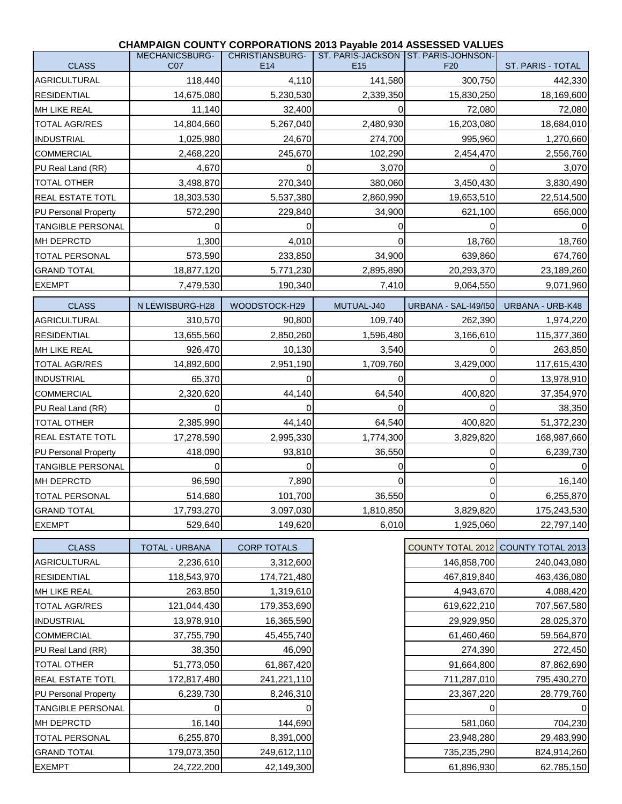## **CHAMPAIGN COUNTY CORPORATIONS 2013 Payable 2014 ASSESSED VALUES**

| <b>CLASS</b>             | MECHANICSBURG-<br>CO7 | <b>CHRISTIANSBURG-</b><br>E14 | ST. PARIS-JACKSON ST. PARIS-JOHNSON-<br>E <sub>15</sub> | F <sub>20</sub>             | ST. PARIS - TOTAL |
|--------------------------|-----------------------|-------------------------------|---------------------------------------------------------|-----------------------------|-------------------|
| <b>AGRICULTURAL</b>      | 118,440               | 4,110                         | 141,580                                                 | 300,750                     | 442,330           |
| <b>RESIDENTIAL</b>       | 14,675,080            | 5,230,530                     | 2,339,350                                               | 15,830,250                  | 18,169,600        |
| MH LIKE REAL             | 11,140                | 32,400                        | 0                                                       | 72,080                      | 72,080            |
| <b>TOTAL AGR/RES</b>     | 14,804,660            | 5,267,040                     | 2,480,930                                               | 16,203,080                  | 18,684,010        |
| <b>INDUSTRIAL</b>        | 1,025,980             | 24,670                        | 274,700                                                 | 995,960                     | 1,270,660         |
| <b>COMMERCIAL</b>        | 2,468,220             | 245,670                       | 102,290                                                 | 2,454,470                   | 2,556,760         |
| PU Real Land (RR)        | 4,670                 | 0                             | 3,070                                                   | 0                           | 3,070             |
| <b>TOTAL OTHER</b>       | 3,498,870             | 270,340                       | 380,060                                                 | 3,450,430                   | 3,830,490         |
| <b>REAL ESTATE TOTL</b>  | 18,303,530            | 5,537,380                     | 2,860,990                                               | 19,653,510                  | 22,514,500        |
| PU Personal Property     | 572,290               | 229,840                       | 34,900                                                  | 621,100                     | 656,000           |
| <b>TANGIBLE PERSONAL</b> | 0                     | 0                             | 0                                                       | $\Omega$                    |                   |
| MH DEPRCTD               | 1,300                 | 4,010                         | 0                                                       | 18,760                      | 18,760            |
| <b>TOTAL PERSONAL</b>    | 573,590               | 233,850                       | 34,900                                                  | 639,860                     | 674,760           |
| <b>GRAND TOTAL</b>       | 18,877,120            | 5,771,230                     | 2,895,890                                               | 20,293,370                  | 23,189,260        |
| <b>EXEMPT</b>            | 7,479,530             | 190,340                       | 7,410                                                   | 9,064,550                   | 9,071,960         |
|                          |                       |                               |                                                         |                             |                   |
| <b>CLASS</b>             | N LEWISBURG-H28       | WOODSTOCK-H29                 | MUTUAL-J40                                              | <b>URBANA - SAL-149/150</b> | URBANA - URB-K48  |
| <b>AGRICULTURAL</b>      | 310,570               | 90,800                        | 109,740                                                 | 262,390                     | 1,974,220         |
| <b>RESIDENTIAL</b>       | 13,655,560            | 2,850,260                     | 1,596,480                                               | 3,166,610                   | 115,377,360       |
| MH LIKE REAL             | 926,470               | 10,130                        | 3,540                                                   | $\Omega$                    | 263,850           |
| <b>TOTAL AGR/RES</b>     | 14,892,600            | 2,951,190                     | 1,709,760                                               | 3,429,000                   | 117,615,430       |
| <b>INDUSTRIAL</b>        | 65,370                | 0                             | 0                                                       | $\Omega$                    | 13,978,910        |
| <b>COMMERCIAL</b>        | 2,320,620             | 44,140                        | 64,540                                                  | 400,820                     | 37,354,970        |
| PU Real Land (RR)        | 0                     | 0                             | 0                                                       | 0                           | 38,350            |
| <b>TOTAL OTHER</b>       | 2,385,990             | 44,140                        | 64,540                                                  | 400,820                     | 51,372,230        |
| <b>REAL ESTATE TOTL</b>  | 17,278,590            | 2,995,330                     | 1,774,300                                               | 3,829,820                   | 168,987,660       |
| PU Personal Property     | 418,090               | 93,810                        | 36,550                                                  | $\Omega$                    | 6,239,730         |
| <b>TANGIBLE PERSONAL</b> | $\Omega$              | 0                             | 0                                                       | $\Omega$                    |                   |
| MH DEPRCTD               | 96,590                | 7,890                         | 0                                                       | $\Omega$                    | 16,140            |
| <b>TOTAL PERSONAL</b>    | 514,680               | 101,700                       | 36,550                                                  | $\Omega$                    | 6,255,870         |
| <b>GRAND TOTAL</b>       | 17,793,270            | 3,097,030                     | 1,810,850                                               | 3,829,820                   | 175,243,530       |

|             | COUNTY TOTAL 2012 COUNTY TOTAL 2013 |
|-------------|-------------------------------------|
| 146,858,700 | 240,043,080                         |
| 467,819,840 | 463,436,080                         |
| 4,943,670   | 4,088,420                           |
| 619,622,210 | 707,567,580                         |
| 29,929,950  | 28,025,370                          |
| 61,460,460  | 59,564,870                          |
| 274,390     | 272,450                             |
| 91,664,800  | 87,862,690                          |
| 711,287,010 | 795,430,270                         |
| 23,367,220  | 28,779,760                          |
| 0           |                                     |
| 581,060     | 704,230                             |
| 23,948,280  | 29,483,990                          |
| 735,235,290 | 824,914,260                         |
| 61,896,930  | 62,785,150                          |

| <b>CLASS</b>                | <b>TOTAL - URBANA</b> | <b>CORP TOTALS</b> | COUNTY TOTAL 2012 COUNTY TOTAL 2013 |             |
|-----------------------------|-----------------------|--------------------|-------------------------------------|-------------|
| <b>AGRICULTURAL</b>         | 2,236,610             | 3,312,600          | 146,858,700                         | 240,043,080 |
| <b>RESIDENTIAL</b>          | 118,543,970           | 174,721,480        | 467,819,840                         | 463,436,080 |
| <b>MH LIKE REAL</b>         | 263,850               | 1,319,610          | 4,943,670                           | 4,088,420   |
| <b>TOTAL AGR/RES</b>        | 121,044,430           | 179,353,690        | 619,622,210                         | 707,567,580 |
| <b>INDUSTRIAL</b>           | 13,978,910            | 16,365,590         | 29,929,950                          | 28,025,370  |
| <b>COMMERCIAL</b>           | 37,755,790            | 45,455,740         | 61,460,460                          | 59,564,870  |
| PU Real Land (RR)           | 38,350                | 46,090             | 274,390                             | 272,450     |
| <b>TOTAL OTHER</b>          | 51,773,050            | 61,867,420         | 91,664,800                          | 87,862,690  |
| <b>REAL ESTATE TOTL</b>     | 172,817,480           | 241,221,110        | 711,287,010                         | 795,430,270 |
| <b>PU Personal Property</b> | 6,239,730             | 8,246,310          | 23,367,220                          | 28,779,760  |
| <b>TANGIBLE PERSONAL</b>    |                       |                    |                                     |             |
| <b>MH DEPRCTD</b>           | 16,140                | 144,690            | 581,060                             | 704,230     |
| <b>TOTAL PERSONAL</b>       | 6,255,870             | 8,391,000          | 23,948,280                          | 29,483,990  |
| <b>GRAND TOTAL</b>          | 179,073,350           | 249,612,110        | 735,235,290                         | 824,914,260 |
| <b>EXEMPT</b>               | 24,722,200            | 42,149,300         | 61,896,930                          | 62,785,150  |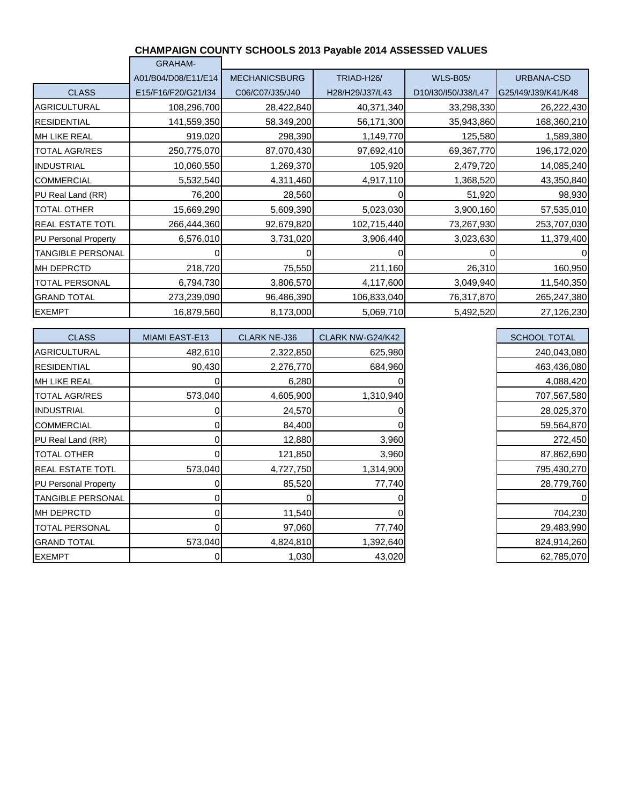|                          | <b>GRAHAM-</b>      |                      |                 |                     |                     |
|--------------------------|---------------------|----------------------|-----------------|---------------------|---------------------|
|                          | A01/B04/D08/E11/E14 | <b>MECHANICSBURG</b> | TRIAD-H26/      | <b>WLS-B05/</b>     | URBANA-CSD          |
| <b>CLASS</b>             | E15/F16/F20/G21/I34 | C06/C07/J35/J40      | H28/H29/J37/L43 | D10/I30/I50/J38/L47 | G25/I49/J39/K41/K48 |
| AGRICULTURAL             | 108,296,700         | 28,422,840           | 40,371,340      | 33,298,330          | 26,222,430          |
| <b>RESIDENTIAL</b>       | 141,559,350         | 58,349,200           | 56,171,300      | 35,943,860          | 168,360,210         |
| <b>MH LIKE REAL</b>      | 919,020             | 298,390              | 1,149,770       | 125,580             | 1,589,380           |
| <b>TOTAL AGR/RES</b>     | 250,775,070         | 87,070,430           | 97,692,410      | 69,367,770          | 196,172,020         |
| <b>INDUSTRIAL</b>        | 10,060,550          | 1,269,370            | 105,920         | 2,479,720           | 14,085,240          |
| <b>COMMERCIAL</b>        | 5,532,540           | 4,311,460            | 4,917,110       | 1,368,520           | 43,350,840          |
| PU Real Land (RR)        | 76,200              | 28,560               |                 | 51,920              | 98,930              |
| <b>TOTAL OTHER</b>       | 15,669,290          | 5,609,390            | 5,023,030       | 3,900,160           | 57,535,010          |
| <b>REAL ESTATE TOTL</b>  | 266,444,360         | 92,679,820           | 102,715,440     | 73,267,930          | 253,707,030         |
| PU Personal Property     | 6,576,010           | 3,731,020            | 3,906,440       | 3,023,630           | 11,379,400          |
| <b>TANGIBLE PERSONAL</b> |                     |                      |                 |                     |                     |
| <b>MH DEPRCTD</b>        | 218,720             | 75,550               | 211,160         | 26,310              | 160,950             |
| <b>TOTAL PERSONAL</b>    | 6,794,730           | 3,806,570            | 4,117,600       | 3,049,940           | 11,540,350          |
| <b>GRAND TOTAL</b>       | 273,239,090         | 96,486,390           | 106,833,040     | 76,317,870          | 265,247,380         |
| <b>EXEMPT</b>            | 16,879,560          | 8,173,000            | 5,069,710       | 5,492,520           | 27,126,230          |

### **CHAMPAIGN COUNTY SCHOOLS 2013 Payable 2014 ASSESSED VALUES**

| <b>CLASS</b>                | <b>MIAMI EAST-E13</b> | <b>CLARK NE-J36</b> | CLARK NW-G24/K42 | <b>SCHOOL TOTAL</b> |
|-----------------------------|-----------------------|---------------------|------------------|---------------------|
| <b>AGRICULTURAL</b>         | 482,610               | 2,322,850           | 625,980          | 240,043,080         |
| <b>RESIDENTIAL</b>          | 90,430                | 2,276,770           | 684,960          | 463,436,080         |
| <b>MH LIKE REAL</b>         |                       | 6,280               |                  | 4,088,420           |
| <b>TOTAL AGR/RES</b>        | 573,040               | 4,605,900           | 1,310,940        | 707,567,580         |
| <b>INDUSTRIAL</b>           |                       | 24,570              |                  | 28,025,370          |
| <b>COMMERCIAL</b>           |                       | 84,400              |                  | 59,564,870          |
| <b>PU Real Land (RR)</b>    |                       | 12,880              | 3,960            | 272,450             |
| <b>TOTAL OTHER</b>          |                       | 121,850             | 3,960            | 87,862,690          |
| <b>REAL ESTATE TOTL</b>     | 573,040               | 4,727,750           | 1,314,900        | 795,430,270         |
| <b>PU Personal Property</b> |                       | 85,520              | 77,740           | 28,779,760          |
| <b>TANGIBLE PERSONAL</b>    |                       |                     |                  |                     |
| <b>MH DEPRCTD</b>           |                       | 11,540              |                  | 704,230             |
| <b>TOTAL PERSONAL</b>       |                       | 97,060              | 77,740           | 29,483,990          |
| <b>GRAND TOTAL</b>          | 573,040               | 4,824,810           | 1,392,640        | 824,914,260         |
| <b>EXEMPT</b>               |                       | 1,030               | 43,020           | 62,785,070          |

| <b>SCHOOL TOTAL</b> |
|---------------------|
| 240,043,080         |
| 463,436,080         |
| 4,088,420           |
| 707,567,580         |
| 28,025,370          |
| 59,564,870          |
| 272,450             |
| 87,862,690          |
| 795,430,270         |
| 28,779,760          |
| 0                   |
| 704,230             |
| 29,483,990          |
| 824,914,260         |
| 62,785,070          |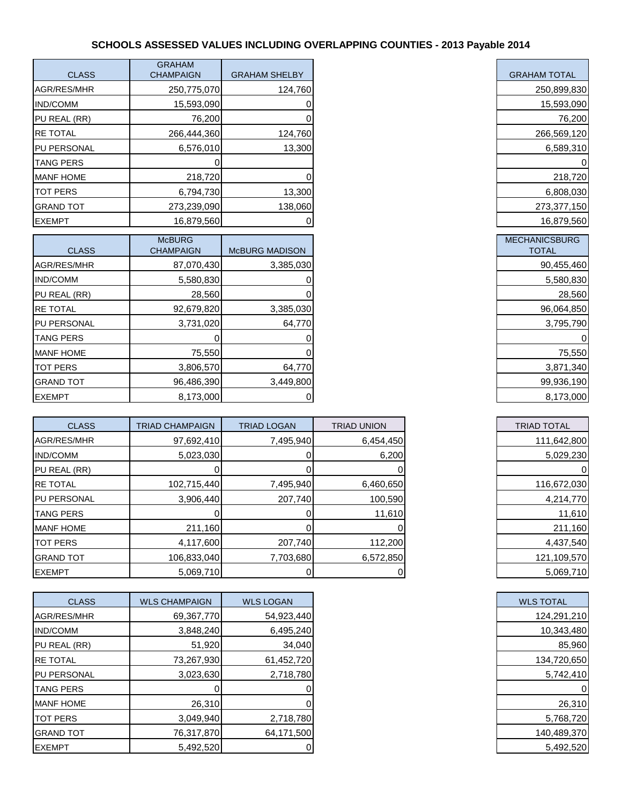# **SCHOOLS ASSESSED VALUES INCLUDING OVERLAPPING COUNTIES - 2013 Payable 2014**

| <b>CLASS</b>       | <b>GRAHAM</b><br><b>CHAMPAIGN</b> | <b>GRAHAM SHELBY</b> |  |
|--------------------|-----------------------------------|----------------------|--|
| AGR/RES/MHR        | 250,775,070                       | 124,760              |  |
| <b>IND/COMM</b>    | 15,593,090                        |                      |  |
| PU REAL (RR)       | 76,200                            |                      |  |
| <b>RE TOTAL</b>    | 266,444,360                       | 124,760              |  |
| <b>PU PERSONAL</b> | 6,576,010                         | 13,300               |  |
| <b>TANG PERS</b>   |                                   |                      |  |
| <b>MANF HOME</b>   | 218,720                           |                      |  |
| <b>TOT PERS</b>    | 6,794,730                         | 13,300               |  |
| <b>GRAND TOT</b>   | 273,239,090                       | 138,060              |  |
| <b>EXEMPT</b>      | 16,879,560                        |                      |  |

| <b>CLASS</b>        | <b>McBURG</b><br><b>CHAMPAIGN</b> | <b>McBURG MADISON</b> | <b>MECHANICSBURG</b><br><b>TOTAL</b> |
|---------------------|-----------------------------------|-----------------------|--------------------------------------|
| AGR/RES/MHR         | 87,070,430                        | 3,385,030             | 90,455,460                           |
| <b>IND/COMM</b>     | 5,580,830                         |                       | 5,580,830                            |
| <b>PU REAL (RR)</b> | 28,560                            |                       | 28,560                               |
| <b>IRE TOTAL</b>    | 92,679,820                        | 3,385,030             | 96,064,850                           |
| <b>IPU PERSONAL</b> | 3,731,020                         | 64,770                | 3,795,790                            |
| <b>TANG PERS</b>    |                                   |                       |                                      |
| <b>MANF HOME</b>    | 75,550                            |                       | 75,550                               |
| <b>ITOT PERS</b>    | 3,806,570                         | 64,770                | 3,871,340                            |
| <b>GRAND TOT</b>    | 96,486,390                        | 3,449,800             | 99,936,190                           |
| <b>EXEMPT</b>       | 8,173,000                         |                       | 8,173,000                            |

| <b>CLASS</b>        | <b>TRIAD CHAMPAIGN</b> | <b>TRIAD LOGAN</b> | <b>TRIAD UNION</b> | <b>TRIAD TOTAL</b> |
|---------------------|------------------------|--------------------|--------------------|--------------------|
| <b>AGR/RES/MHR</b>  | 97,692,410             | 7,495,940          | 6,454,450          | 111,642,800        |
| <b>IND/COMM</b>     | 5,023,030              |                    | 6,200              | 5,029,230          |
| <b>PU REAL (RR)</b> |                        |                    |                    |                    |
| <b>IRE TOTAL</b>    | 102,715,440            | 7,495,940          | 6,460,650          | 116,672,030        |
| <b>IPU PERSONAL</b> | 3,906,440              | 207,740            | 100,590            | 4,214,770          |
| <b>ITANG PERS</b>   |                        |                    | 11,610             | 11,610             |
| <b>MANF HOME</b>    | 211,160                |                    |                    | 211,160            |
| <b>ITOT PERS</b>    | 4,117,600              | 207,740            | 112,200            | 4,437,540          |
| <b>GRAND TOT</b>    | 106,833,040            | 7,703,680          | 6,572,850          | 121,109,570        |
| <b>IEXEMPT</b>      | 5,069,710              |                    |                    | 5,069,710          |

| <b>CLASS</b>        | <b>WLS CHAMPAIGN</b> | <b>WLS LOGAN</b> |
|---------------------|----------------------|------------------|
| AGR/RES/MHR         | 69,367,770           | 54,923,440       |
| <b>IND/COMM</b>     | 3,848,240            | 6,495,240        |
| <b>PU REAL (RR)</b> | 51,920               | 34,040           |
| <b>IRE TOTAL</b>    | 73,267,930           | 61,452,720       |
| <b>PU PERSONAL</b>  | 3,023,630            | 2,718,780        |
| <b>ITANG PERS</b>   |                      |                  |
| <b>MANF HOME</b>    | 26,310               |                  |
| <b>TOT PERS</b>     | 3,049,940            | 2,718,780        |
| <b>GRAND TOT</b>    | 76,317,870           | 64,171,500       |
| <b>IEXEMPT</b>      | 5,492,520            |                  |

| GRAHAM<br><b>TOTAL</b>        |
|-------------------------------|
| 250,899,830                   |
| 15,593,090                    |
| 76,200                        |
| 266,569,120                   |
| <u>6,589,310</u>              |
| Ω                             |
| 218,720                       |
| 6,808,030                     |
| 273,377,150                   |
| 16,879,560                    |
|                               |
| <b>MECHANICSBURG</b><br>TOTAL |
| 90,455,460                    |
| 5,580,830                     |
| 28,560                        |
| 96,064,850                    |
| <u>3,795,79</u> 0             |
|                               |
| 75,550                        |
| 3,871,340                     |
| 99,936,190                    |

| <b>TRIAD TOTAL</b> |
|--------------------|
| 111,642,800        |
| 5,029,230          |
|                    |
| 116,672,030        |
| 4,214,770          |
| 11,610             |
| 211,160            |
| 4,437,540          |
| 121,109,570        |
| 5.069.710          |

| <b>WLS TOTAL</b> |
|------------------|
| 124,291,210      |
| 10,343,480       |
| 85,960           |
| 134,720,650      |
| 5,742,410        |
| С                |
| 26,310           |
| 5,768,720        |
| 140,489,370      |
| 5,492,520        |